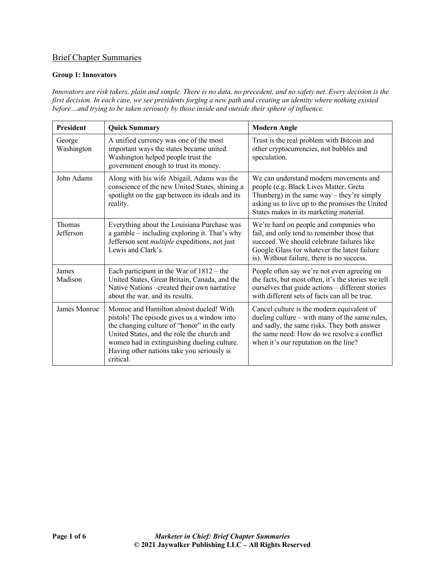# Brief Chapter Summaries

#### **Group 1: Innovators**

*Innovators are risk takers, plain and simple. There is no data, no precedent, and no safety net. Every decision is the first decision. In each case, we see presidents forging a new path and creating an identity where nothing existed before…and trying to be taken seriously by those inside and outside their sphere of influence.* 

| <b>President</b>           | <b>Quick Summary</b>                                                                                                                                                                                                                                                                           | <b>Modern Angle</b>                                                                                                                                                                                                                 |  |
|----------------------------|------------------------------------------------------------------------------------------------------------------------------------------------------------------------------------------------------------------------------------------------------------------------------------------------|-------------------------------------------------------------------------------------------------------------------------------------------------------------------------------------------------------------------------------------|--|
| George<br>Washington       | A unified currency was one of the most<br>important ways the states became united.<br>Washington helped people trust the<br>government enough to trust its money.                                                                                                                              | Trust is the real problem with Bitcoin and<br>other cryptocurrencies, not bubbles and<br>speculation.                                                                                                                               |  |
| John Adams                 | Along with his wife Abigail, Adams was the<br>conscience of the new United States, shining a<br>spotlight on the gap between its ideals and its<br>reality.                                                                                                                                    | We can understand modern movements and<br>people (e.g. Black Lives Matter, Greta<br>Thunberg) in the same way $-$ they're simply<br>asking us to live up to the promises the United<br>States makes in its marketing material.      |  |
| <b>Thomas</b><br>Jefferson | Everything about the Louisiana Purchase was<br>a gamble – including exploring it. That's why<br>Jefferson sent <i>multiple</i> expeditions, not just<br>Lewis and Clark's.                                                                                                                     | We're hard on people and companies who<br>fail, and only tend to remember those that<br>succeed. We should celebrate failures like<br>Google Glass (or whatever the latest failure<br>is). Without failure, there is no success.    |  |
| James<br>Madison           | Each participant in the War of $1812 -$ the<br>United States, Great Britain, Canada, and the<br>Native Nations – created their own narrative<br>about the war, and its results.                                                                                                                | People often say we're not even agreeing on<br>the facts, but most often, it's the stories we tell<br>ourselves that guide actions - different stories<br>with different sets of facts can all be true.                             |  |
| James Monroe               | Monroe and Hamilton almost dueled! With<br>pistols! The episode gives us a window into<br>the changing culture of "honor" in the early<br>United States, and the role the church and<br>women had in extinguishing dueling culture.<br>Having other nations take you seriously is<br>critical. | Cancel culture is the modern equivalent of<br>dueling culture – with many of the same rules,<br>and sadly, the same risks. They both answer<br>the same need: How do we resolve a conflict<br>when it's our reputation on the line? |  |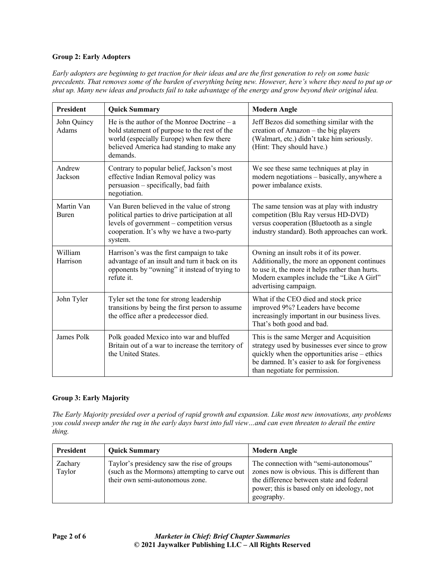## **Group 2: Early Adopters**

*Early adopters are beginning to get traction for their ideas and are the first generation to rely on some basic precedents. That removes some of the burden of everything being new. However, here's where they need to put up or shut up. Many new ideas and products fail to take advantage of the energy and grow beyond their original idea.*

| President                  | <b>Quick Summary</b>                                                                                                                                                                               | <b>Modern Angle</b>                                                                                                                                                                                                           |  |
|----------------------------|----------------------------------------------------------------------------------------------------------------------------------------------------------------------------------------------------|-------------------------------------------------------------------------------------------------------------------------------------------------------------------------------------------------------------------------------|--|
| John Quincy<br>Adams       | He is the author of the Monroe Doctrine $-$ a<br>bold statement of purpose to the rest of the<br>world (especially Europe) when few there<br>believed America had standing to make any<br>demands. | Jeff Bezos did something similar with the<br>creation of Amazon - the big players<br>(Walmart, etc.) didn't take him seriously.<br>(Hint: They should have.)                                                                  |  |
| Andrew<br>Jackson          | Contrary to popular belief, Jackson's most<br>effective Indian Removal policy was<br>persuasion - specifically, bad faith<br>negotiation.                                                          | We see these same techniques at play in<br>modern negotiations - basically, anywhere a<br>power imbalance exists.                                                                                                             |  |
| Martin Van<br><b>Buren</b> | Van Buren believed in the value of strong<br>political parties to drive participation at all<br>levels of government - competition versus<br>cooperation. It's why we have a two-party<br>system.  | The same tension was at play with industry<br>competition (Blu Ray versus HD-DVD)<br>versus cooperation (Bluetooth as a single<br>industry standard). Both approaches can work.                                               |  |
| William<br>Harrison        | Harrison's was the first campaign to take<br>advantage of an insult and turn it back on its<br>opponents by "owning" it instead of trying to<br>refute it.                                         | Owning an insult robs it of its power.<br>Additionally, the more an opponent continues<br>to use it, the more it helps rather than hurts.<br>Modern examples include the "Like A Girl"<br>advertising campaign.               |  |
| John Tyler                 | Tyler set the tone for strong leadership<br>transitions by being the first person to assume<br>the office after a predecessor died.                                                                | What if the CEO died and stock price<br>improved 9%? Leaders have become<br>increasingly important in our business lives.<br>That's both good and bad.                                                                        |  |
| James Polk                 | Polk goaded Mexico into war and bluffed<br>Britain out of a war to increase the territory of<br>the United States.                                                                                 | This is the same Merger and Acquisition<br>strategy used by businesses ever since to grow<br>quickly when the opportunities arise – ethics<br>be damned. It's easier to ask for forgiveness<br>than negotiate for permission. |  |

# **Group 3: Early Majority**

*The Early Majority presided over a period of rapid growth and expansion. Like most new innovations, any problems you could sweep under the rug in the early days burst into full view…and can even threaten to derail the entire thing.*

| <b>President</b>  | <b>Ouick Summary</b>                                                                                                           | Modern Angle                                                                                                                                                                                  |
|-------------------|--------------------------------------------------------------------------------------------------------------------------------|-----------------------------------------------------------------------------------------------------------------------------------------------------------------------------------------------|
| Zachary<br>Taylor | Taylor's presidency saw the rise of groups<br>(such as the Mormons) attempting to carve out<br>their own semi-autonomous zone. | The connection with "semi-autonomous"<br>zones now is obvious. This is different than<br>the difference between state and federal<br>power; this is based only on ideology, not<br>geography. |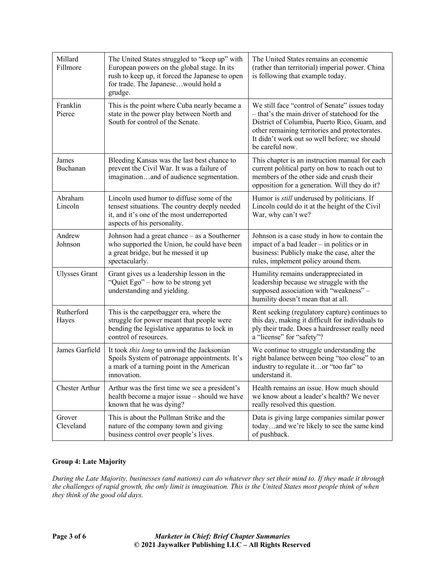| Millard<br>Fillmore   | The United States struggled to "keep up" with<br>European powers on the global stage. In its<br>rush to keep up, it forced the Japanese to open<br>for trade. The Japanesewould hold a<br>grudge. | The United States remains an economic<br>(rather than territorial) imperial power. China<br>is following that example today.                                                                                                                                         |  |
|-----------------------|---------------------------------------------------------------------------------------------------------------------------------------------------------------------------------------------------|----------------------------------------------------------------------------------------------------------------------------------------------------------------------------------------------------------------------------------------------------------------------|--|
| Franklin<br>Pierce    | This is the point where Cuba nearly became a<br>state in the power play between North and<br>South for control of the Senate.                                                                     | We still face "control of Senate" issues today<br>- that's the main driver of statehood for the<br>District of Columbia, Puerto Rico, Guam, and<br>other remaining territories and protectorates.<br>It didn't work out so well before; we should<br>be careful now. |  |
| James<br>Buchanan     | Bleeding Kansas was the last best chance to<br>prevent the Civil War. It was a failure of<br>imaginationand of audience segmentation.                                                             | This chapter is an instruction manual for each<br>current political party on how to reach out to<br>members of the other side and crush their<br>opposition for a generation. Will they do it?                                                                       |  |
| Abraham<br>Lincoln    | Lincoln used humor to diffuse some of the<br>tensest situations. The country deeply needed<br>it, and it's one of the most underreported<br>aspects of his personality.                           | Humor is <i>still</i> underused by politicians. If<br>Lincoln could do it at the height of the Civil<br>War, why can't we?                                                                                                                                           |  |
| Andrew<br>Johnson     | Johnson had a great chance – as a Southerner<br>who supported the Union, he could have been<br>a great bridge, but he messed it up<br>spectacularly.                                              | Johnson is a case study in how to contain the<br>impact of a bad leader $-$ in politics or in<br>business: Publicly make the case, alter the<br>rules, implement policy around them.                                                                                 |  |
| <b>Ulysses Grant</b>  | Grant gives us a leadership lesson in the<br>"Quiet Ego" – how to be strong yet<br>understanding and yielding.                                                                                    | Humility remains underappreciated in<br>leadership because we struggle with the<br>supposed association with "weakness" -<br>humility doesn't mean that at all.                                                                                                      |  |
| Rutherford<br>Hayes   | This is the carpetbagger era, where the<br>struggle for power meant that people were<br>bending the legislative apparatus to lock in<br>control of resources.                                     | Rent seeking (regulatory capture) continues to<br>this day, making it difficult for individuals to<br>ply their trade. Does a hairdresser really need<br>a "license" for "safety"?                                                                                   |  |
| James Garfield        | It took this long to unwind the Jacksonian<br>Spoils System of patronage appointments. It's<br>a mark of a turning point in the American<br>innovation.                                           | We continue to struggle understanding the<br>right balance between being "too close" to an<br>industry to regulate itor "too far" to<br>understand it.                                                                                                               |  |
| <b>Chester Arthur</b> | Arthur was the first time we see a president's<br>health become a major issue - should we have<br>known that he was dying?                                                                        | Health remains an issue. How much should<br>we know about a leader's health? We never<br>really resolved this question.                                                                                                                                              |  |
| Grover<br>Cleveland   | This is about the Pullman Strike and the<br>nature of the company town and giving<br>business control over people's lives.                                                                        | Data is giving large companies similar power<br>todayand we're likely to see the same kind<br>of pushback.                                                                                                                                                           |  |

# **Group 4: Late Majority**

*During the Late Majority, businesses (and nations) can do whatever they set their mind to. If they made it through the challenges of rapid growth, the only limit is imagination. This is the United States most people think of when they think of the good old days.*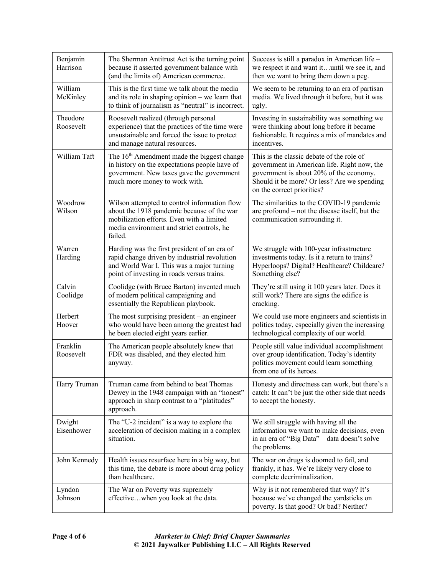| Benjamin<br>Harrison  | The Sherman Antitrust Act is the turning point<br>because it asserted government balance with<br>(and the limits of) American commerce.                                                         | Success is still a paradox in American life -<br>we respect it and want ituntil we see it, and<br>then we want to bring them down a peg.                                                                         |  |
|-----------------------|-------------------------------------------------------------------------------------------------------------------------------------------------------------------------------------------------|------------------------------------------------------------------------------------------------------------------------------------------------------------------------------------------------------------------|--|
| William<br>McKinley   | This is the first time we talk about the media<br>and its role in shaping opinion - we learn that<br>to think of journalism as "neutral" is incorrect.                                          | We seem to be returning to an era of partisan<br>media. We lived through it before, but it was<br>ugly.                                                                                                          |  |
| Theodore<br>Roosevelt | Roosevelt realized (through personal<br>experience) that the practices of the time were<br>unsustainable and forced the issue to protect<br>and manage natural resources.                       | Investing in sustainability was something we<br>were thinking about long before it became<br>fashionable. It requires a mix of mandates and<br>incentives.                                                       |  |
| William Taft          | The 16 <sup>th</sup> Amendment made the biggest change<br>in history on the expectations people have of<br>government. New taxes gave the government<br>much more money to work with.           | This is the classic debate of the role of<br>government in American life. Right now, the<br>government is about 20% of the economy.<br>Should it be more? Or less? Are we spending<br>on the correct priorities? |  |
| Woodrow<br>Wilson     | Wilson attempted to control information flow<br>about the 1918 pandemic because of the war<br>mobilization efforts. Even with a limited<br>media environment and strict controls, he<br>failed. | The similarities to the COVID-19 pandemic<br>are profound – not the disease itself, but the<br>communication surrounding it.                                                                                     |  |
| Warren<br>Harding     | Harding was the first president of an era of<br>rapid change driven by industrial revolution<br>and World War I. This was a major turning<br>point of investing in roads versus trains.         | We struggle with 100-year infrastructure<br>investments today. Is it a return to trains?<br>Hyperloops? Digital? Healthcare? Childcare?<br>Something else?                                                       |  |
| Calvin<br>Coolidge    | Coolidge (with Bruce Barton) invented much<br>of modern political campaigning and<br>essentially the Republican playbook.                                                                       | They're still using it 100 years later. Does it<br>still work? There are signs the edifice is<br>cracking.                                                                                                       |  |
| Herbert<br>Hoover     | The most surprising president $-$ an engineer<br>who would have been among the greatest had<br>he been elected eight years earlier.                                                             | We could use more engineers and scientists in<br>politics today, especially given the increasing<br>technological complexity of our world.                                                                       |  |
| Franklin<br>Roosevelt | The American people absolutely knew that<br>FDR was disabled, and they elected him<br>anyway.                                                                                                   | People still value individual accomplishment<br>over group identification. Today's identity<br>politics movement could learn something<br>from one of its heroes.                                                |  |
| Harry Truman          | Truman came from behind to beat Thomas<br>Dewey in the 1948 campaign with an "honest"<br>approach in sharp contrast to a "platitudes"<br>approach.                                              | Honesty and directness can work, but there's a<br>catch: It can't be just the other side that needs<br>to accept the honesty.                                                                                    |  |
| Dwight<br>Eisenhower  | The "U-2 incident" is a way to explore the<br>acceleration of decision making in a complex<br>situation.                                                                                        | We still struggle with having all the<br>information we want to make decisions, even<br>in an era of "Big Data" - data doesn't solve<br>the problems.                                                            |  |
| John Kennedy          | Health issues resurface here in a big way, but<br>this time, the debate is more about drug policy<br>than healthcare.                                                                           | The war on drugs is doomed to fail, and<br>frankly, it has. We're likely very close to<br>complete decriminalization.                                                                                            |  |
| Lyndon<br>Johnson     | The War on Poverty was supremely<br>effectivewhen you look at the data.                                                                                                                         | Why is it not remembered that way? It's<br>because we've changed the yardsticks on<br>poverty. Is that good? Or bad? Neither?                                                                                    |  |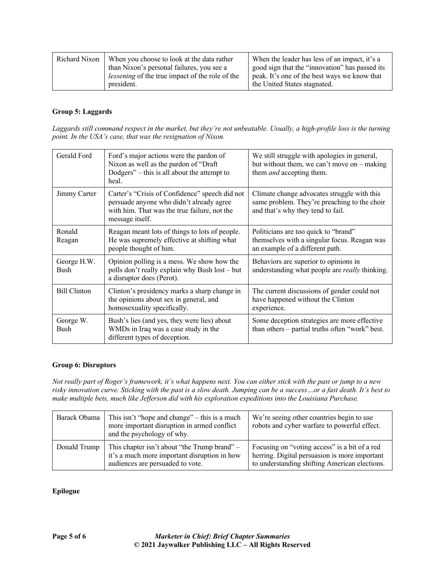| Richard Nixon | When you choose to look at the data rather                                                          | When the leader has less of an impact, it's a                                                  |
|---------------|-----------------------------------------------------------------------------------------------------|------------------------------------------------------------------------------------------------|
|               | than Nixon's personal failures, you see a<br><i>lessening</i> of the true impact of the role of the | good sign that the "innovation" has passed its<br>peak. It's one of the best ways we know that |
|               | president.                                                                                          | the United States stagnated.                                                                   |

#### **Group 5: Laggards**

*Laggards still command respect in the market, but they're not unbeatable. Usually, a high-profile loss is the turning point. In the USA's case, that was the resignation of Nixon.*

| Gerald Ford                | Ford's major actions were the pardon of<br>Nixon as well as the pardon of "Draft<br>Dodgers" – this is all about the attempt to<br>heal.                      | We still struggle with apologies in general,<br>but without them, we can't move on $-$ making<br>them <i>and</i> accepting them. |  |
|----------------------------|---------------------------------------------------------------------------------------------------------------------------------------------------------------|----------------------------------------------------------------------------------------------------------------------------------|--|
| Jimmy Carter               | Carter's "Crisis of Confidence" speech did not<br>persuade anyone who didn't already agree<br>with him. That was the true failure, not the<br>message itself. | Climate change advocates struggle with this<br>same problem. They're preaching to the choir<br>and that's why they tend to fail. |  |
| Ronald<br>Reagan           | Reagan meant lots of things to lots of people.<br>He was supremely effective at shifting what<br>people thought of him.                                       | Politicians are too quick to "brand"<br>themselves with a singular focus. Reagan was<br>an example of a different path.          |  |
| George H.W.<br><b>Bush</b> | Opinion polling is a mess. We show how the<br>polls don't really explain why Bush lost - but<br>a disruptor does (Perot).                                     | Behaviors are superior to opinions in<br>understanding what people are <i>really</i> thinking.                                   |  |
| <b>Bill Clinton</b>        | Clinton's presidency marks a sharp change in<br>the opinions about sex in general, and<br>homosexuality specifically.                                         | The current discussions of gender could not<br>have happened without the Clinton<br>experience.                                  |  |
| George W.<br><b>Bush</b>   | Bush's lies (and yes, they were lies) about<br>WMDs in Iraq was a case study in the<br>different types of deception.                                          | Some deception strategies are more effective<br>than others – partial truths often "work" best.                                  |  |

#### **Group 6: Disruptors**

*Not really part of Roger's framework, it's what happens next. You can either stick with the past or jump to a new risky innovation curve. Sticking with the past is a slow death. Jumping can be a success…or a fast death. It's best to make multiple bets, much like Jefferson did with his exploration expeditions into the Louisiana Purchase.*

| Barack Obama | This isn't "hope and change" $-$ this is a much<br>more important disruption in armed conflict<br>and the psychology of why.       | We're seeing other countries begin to use<br>robots and cyber warfare to powerful effect.                                                       |
|--------------|------------------------------------------------------------------------------------------------------------------------------------|-------------------------------------------------------------------------------------------------------------------------------------------------|
| Donald Trump | This chapter isn't about "the Trump brand" $-$<br>it's a much more important disruption in how<br>audiences are persuaded to vote. | Focusing on "voting access" is a bit of a red<br>herring. Digital persuasion is more important<br>to understanding shifting American elections. |

# **Epilogue**